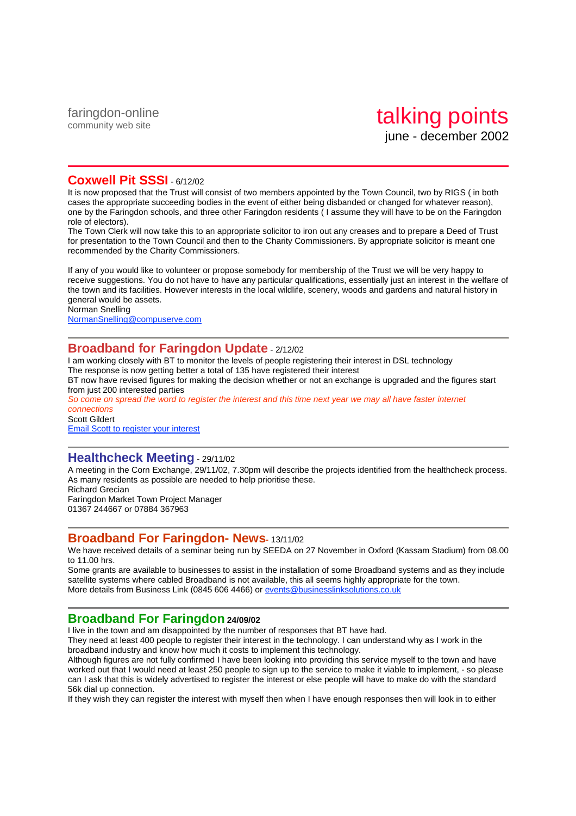### **Coxwell Pit SSSI** - 6/12/02

It is now proposed that the Trust will consist of two members appointed by the Town Council, two by RIGS ( in both cases the appropriate succeeding bodies in the event of either being disbanded or changed for whatever reason), one by the Faringdon schools, and three other Faringdon residents ( I assume they will have to be on the Faringdon role of electors).

The Town Clerk will now take this to an appropriate solicitor to iron out any creases and to prepare a Deed of Trust for presentation to the Town Council and then to the Charity Commissioners. By appropriate solicitor is meant one recommended by the Charity Commissioners.

If any of you would like to volunteer or propose somebody for membership of the Trust we will be very happy to receive suggestions. You do not have to have any particular qualifications, essentially just an interest in the welfare of the town and its facilities. However interests in the local wildlife, scenery, woods and gardens and natural history in general would be assets.

Norman Snelling

NormanSnelling@compuserve.com

## **Broadband for Faringdon Update** - 2/12/02

I am working closely with BT to monitor the levels of people registering their interest in DSL technology The response is now getting better a total of 135 have registered their interest BT now have revised figures for making the decision whether or not an exchange is upgraded and the figures start

from just 200 interested parties

So come on spread the word to register the interest and this time next year we may all have faster internet connections

Scott Gildert Email Scott to register your interest

#### **Healthcheck Meeting** - 29/11/02

A meeting in the Corn Exchange, 29/11/02, 7.30pm will describe the projects identified from the healthcheck process. As many residents as possible are needed to help prioritise these. Richard Grecian

Faringdon Market Town Project Manager 01367 244667 or 07884 367963

### **Broadband For Faringdon- News-** 13/11/02

We have received details of a seminar being run by SEEDA on 27 November in Oxford (Kassam Stadium) from 08.00 to 11.00 hrs.

Some grants are available to businesses to assist in the installation of some Broadband systems and as they include satellite systems where cabled Broadband is not available, this all seems highly appropriate for the town. More details from Business Link (0845 606 4466) or events@businesslinksolutions.co.uk

## **Broadband For Faringdon 24/09/02**

I live in the town and am disappointed by the number of responses that BT have had.

They need at least 400 people to register their interest in the technology. I can understand why as I work in the broadband industry and know how much it costs to implement this technology.

Although figures are not fully confirmed I have been looking into providing this service myself to the town and have worked out that I would need at least 250 people to sign up to the service to make it viable to implement, - so please can I ask that this is widely advertised to register the interest or else people will have to make do with the standard 56k dial up connection.

If they wish they can register the interest with myself then when I have enough responses then will look in to either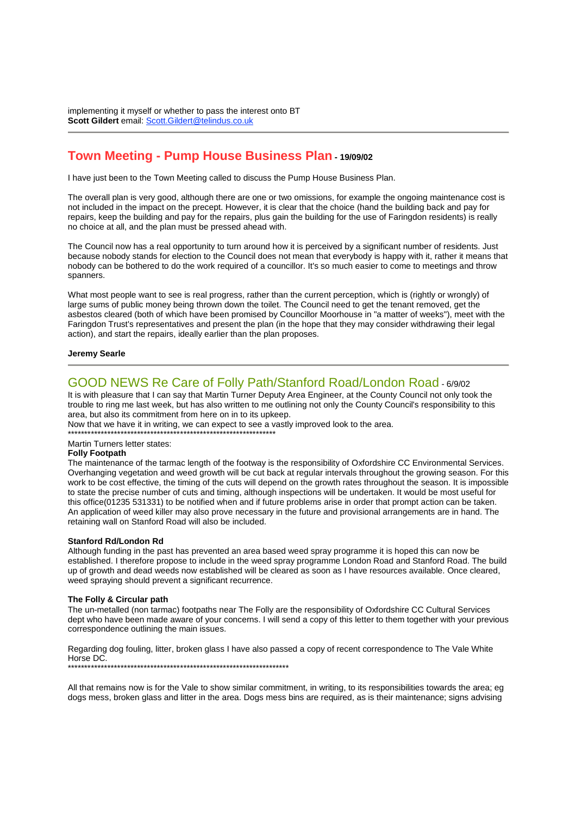implementing it myself or whether to pass the interest onto BT **Scott Gildert** email: Scott.Gildert@telindus.co.uk

## **Town Meeting - Pump House Business Plan - 19/09/02**

I have just been to the Town Meeting called to discuss the Pump House Business Plan.

The overall plan is very good, although there are one or two omissions, for example the ongoing maintenance cost is not included in the impact on the precept. However, it is clear that the choice (hand the building back and pay for repairs, keep the building and pay for the repairs, plus gain the building for the use of Faringdon residents) is really no choice at all, and the plan must be pressed ahead with.

The Council now has a real opportunity to turn around how it is perceived by a significant number of residents. Just because nobody stands for election to the Council does not mean that everybody is happy with it, rather it means that nobody can be bothered to do the work required of a councillor. It's so much easier to come to meetings and throw spanners.

What most people want to see is real progress, rather than the current perception, which is (rightly or wrongly) of large sums of public money being thrown down the toilet. The Council need to get the tenant removed, get the asbestos cleared (both of which have been promised by Councillor Moorhouse in "a matter of weeks"), meet with the Faringdon Trust's representatives and present the plan (in the hope that they may consider withdrawing their legal action), and start the repairs, ideally earlier than the plan proposes.

#### **Jeremy Searle**

#### GOOD NEWS Re Care of Folly Path/Stanford Road/London Road - 6/9/02

It is with pleasure that I can say that Martin Turner Deputy Area Engineer, at the County Council not only took the trouble to ring me last week, but has also written to me outlining not only the County Council's responsibility to this area, but also its commitment from here on in to its upkeep.

Now that we have it in writing, we can expect to see a vastly improved look to the area.

\*\*\*\*\*\*\*\*\*\*\*\*\*\*\*\*\*\*\*\*\*\*\*\*\*\*\*\*\*\*\*\*\*\*\*\*\*\*\*\*\*\*\*\*\*\*\*\*\*\*\*\*\*\*\*\*\*\*\*\*\*\*\* Martin Turners letter states:

#### **Folly Footpath**

The maintenance of the tarmac length of the footway is the responsibility of Oxfordshire CC Environmental Services. Overhanging vegetation and weed growth will be cut back at regular intervals throughout the growing season. For this work to be cost effective, the timing of the cuts will depend on the growth rates throughout the season. It is impossible to state the precise number of cuts and timing, although inspections will be undertaken. It would be most useful for this office(01235 531331) to be notified when and if future problems arise in order that prompt action can be taken. An application of weed killer may also prove necessary in the future and provisional arrangements are in hand. The retaining wall on Stanford Road will also be included.

#### **Stanford Rd/London Rd**

Although funding in the past has prevented an area based weed spray programme it is hoped this can now be established. I therefore propose to include in the weed spray programme London Road and Stanford Road. The build up of growth and dead weeds now established will be cleared as soon as I have resources available. Once cleared, weed spraying should prevent a significant recurrence.

#### **The Folly & Circular path**

The un-metalled (non tarmac) footpaths near The Folly are the responsibility of Oxfordshire CC Cultural Services dept who have been made aware of your concerns. I will send a copy of this letter to them together with your previous correspondence outlining the main issues.

Regarding dog fouling, litter, broken glass I have also passed a copy of recent correspondence to The Vale White Horse DC. \*\*\*\*\*\*\*\*\*\*\*\*\*\*\*\*\*\*\*\*\*\*\*\*\*\*\*\*\*\*\*\*\*\*\*\*\*\*\*\*\*\*\*\*\*\*\*\*\*\*\*\*\*\*\*\*\*\*\*\*\*\*\*\*\*\*\*

All that remains now is for the Vale to show similar commitment, in writing, to its responsibilities towards the area; eg dogs mess, broken glass and litter in the area. Dogs mess bins are required, as is their maintenance; signs advising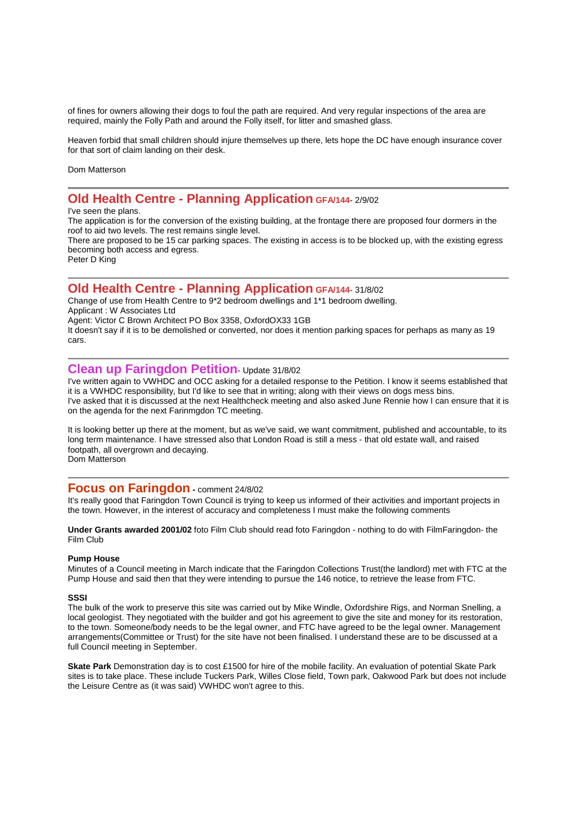of fines for owners allowing their dogs to foul the path are required. And very regular inspections of the area are required, mainly the Folly Path and around the Folly itself, for litter and smashed glass.

Heaven forbid that small children should injure themselves up there, lets hope the DC have enough insurance cover for that sort of claim landing on their desk.

Dom Matterson

## **Old Health Centre - Planning Application GFA/144**- 2/9/02

#### I've seen the plans.

The application is for the conversion of the existing building, at the frontage there are proposed four dormers in the roof to aid two levels. The rest remains single level.

There are proposed to be 15 car parking spaces. The existing in access is to be blocked up, with the existing egress becoming both access and egress.

Peter D King

#### **Old Health Centre - Planning Application GFA/144**- 31/8/02

Change of use from Health Centre to 9\*2 bedroom dwellings and 1\*1 bedroom dwelling.

Applicant : W Associates Ltd

Agent: Victor C Brown Architect PO Box 3358, OxfordOX33 1GB

It doesn't say if it is to be demolished or converted, nor does it mention parking spaces for perhaps as many as 19 cars.

#### **Clean up Faringdon Petition**- Update 31/8/02

I've written again to VWHDC and OCC asking for a detailed response to the Petition. I know it seems established that it is a VWHDC responsibility, but I'd like to see that in writing; along with their views on dogs mess bins. I've asked that it is discussed at the next Healthcheck meeting and also asked June Rennie how I can ensure that it is on the agenda for the next Farinmgdon TC meeting.

It is looking better up there at the moment, but as we've said, we want commitment, published and accountable, to its long term maintenance. I have stressed also that London Road is still a mess - that old estate wall, and raised footpath, all overgrown and decaying. Dom Matterson

#### **Focus on Faringdon -** comment 24/8/02

It's really good that Faringdon Town Council is trying to keep us informed of their activities and important projects in the town. However, in the interest of accuracy and completeness I must make the following comments

**Under Grants awarded 2001/02** foto Film Club should read foto Faringdon - nothing to do with FilmFaringdon- the Film Club

#### **Pump House**

Minutes of a Council meeting in March indicate that the Faringdon Collections Trust(the landlord) met with FTC at the Pump House and said then that they were intending to pursue the 146 notice, to retrieve the lease from FTC.

#### **SSSI**

The bulk of the work to preserve this site was carried out by Mike Windle, Oxfordshire Rigs, and Norman Snelling, a local geologist. They negotiated with the builder and got his agreement to give the site and money for its restoration, to the town. Someone/body needs to be the legal owner, and FTC have agreed to be the legal owner. Management arrangements(Committee or Trust) for the site have not been finalised. I understand these are to be discussed at a full Council meeting in September.

**Skate Park** Demonstration day is to cost £1500 for hire of the mobile facility. An evaluation of potential Skate Park sites is to take place. These include Tuckers Park, Willes Close field, Town park, Oakwood Park but does not include the Leisure Centre as (it was said) VWHDC won't agree to this.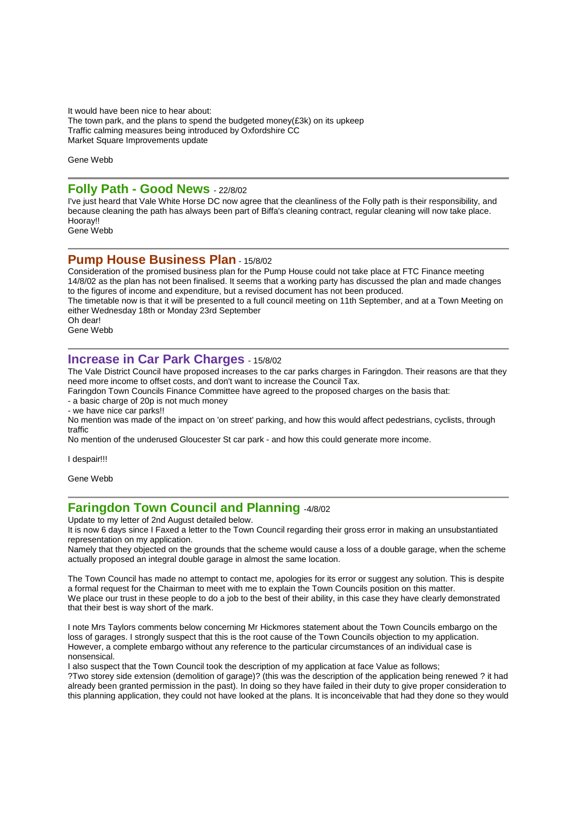It would have been nice to hear about: The town park, and the plans to spend the budgeted money(£3k) on its upkeep Traffic calming measures being introduced by Oxfordshire CC Market Square Improvements update

Gene Webb

#### **Folly Path - Good News** - 22/8/02

I've just heard that Vale White Horse DC now agree that the cleanliness of the Folly path is their responsibility, and because cleaning the path has always been part of Biffa's cleaning contract, regular cleaning will now take place. Hooray!!

Gene Webb

#### **Pump House Business Plan** - 15/8/02

Consideration of the promised business plan for the Pump House could not take place at FTC Finance meeting 14/8/02 as the plan has not been finalised. It seems that a working party has discussed the plan and made changes to the figures of income and expenditure, but a revised document has not been produced. The timetable now is that it will be presented to a full council meeting on 11th September, and at a Town Meeting on either Wednesday 18th or Monday 23rd September Oh dear! Gene Webb

#### **Increase in Car Park Charges** - 15/8/02

The Vale District Council have proposed increases to the car parks charges in Faringdon. Their reasons are that they need more income to offset costs, and don't want to increase the Council Tax.

Faringdon Town Councils Finance Committee have agreed to the proposed charges on the basis that:

- a basic charge of 20p is not much money

- we have nice car parks!!

No mention was made of the impact on 'on street' parking, and how this would affect pedestrians, cyclists, through traffic

No mention of the underused Gloucester St car park - and how this could generate more income.

I despair!!!

Gene Webb

## **Faringdon Town Council and Planning** -4/8/02

Update to my letter of 2nd August detailed below.

It is now 6 days since I Faxed a letter to the Town Council regarding their gross error in making an unsubstantiated representation on my application.

Namely that they objected on the grounds that the scheme would cause a loss of a double garage, when the scheme actually proposed an integral double garage in almost the same location.

The Town Council has made no attempt to contact me, apologies for its error or suggest any solution. This is despite a formal request for the Chairman to meet with me to explain the Town Councils position on this matter. We place our trust in these people to do a job to the best of their ability, in this case they have clearly demonstrated that their best is way short of the mark.

I note Mrs Taylors comments below concerning Mr Hickmores statement about the Town Councils embargo on the loss of garages. I strongly suspect that this is the root cause of the Town Councils objection to my application. However, a complete embargo without any reference to the particular circumstances of an individual case is nonsensical.

I also suspect that the Town Council took the description of my application at face Value as follows;

?Two storey side extension (demolition of garage)? (this was the description of the application being renewed ? it had already been granted permission in the past). In doing so they have failed in their duty to give proper consideration to this planning application, they could not have looked at the plans. It is inconceivable that had they done so they would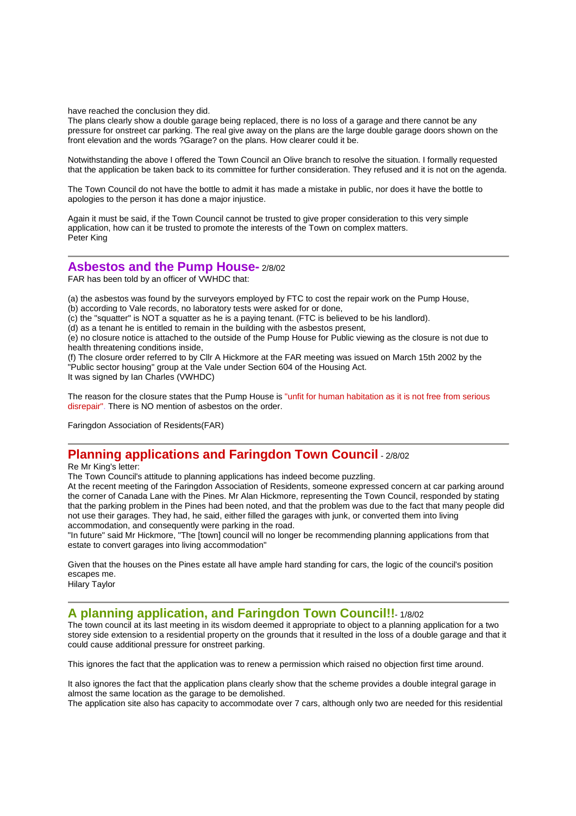have reached the conclusion they did.

The plans clearly show a double garage being replaced, there is no loss of a garage and there cannot be any pressure for onstreet car parking. The real give away on the plans are the large double garage doors shown on the front elevation and the words ?Garage? on the plans. How clearer could it be.

Notwithstanding the above I offered the Town Council an Olive branch to resolve the situation. I formally requested that the application be taken back to its committee for further consideration. They refused and it is not on the agenda.

The Town Council do not have the bottle to admit it has made a mistake in public, nor does it have the bottle to apologies to the person it has done a major injustice.

Again it must be said, if the Town Council cannot be trusted to give proper consideration to this very simple application, how can it be trusted to promote the interests of the Town on complex matters. Peter King

#### **Asbestos and the Pump House-** 2/8/02

FAR has been told by an officer of VWHDC that:

(a) the asbestos was found by the surveyors employed by FTC to cost the repair work on the Pump House,

(b) according to Vale records, no laboratory tests were asked for or done,

(c) the "squatter" is NOT a squatter as he is a paying tenant. (FTC is believed to be his landlord).

(d) as a tenant he is entitled to remain in the building with the asbestos present,

(e) no closure notice is attached to the outside of the Pump House for Public viewing as the closure is not due to health threatening conditions inside,

(f) The closure order referred to by Cllr A Hickmore at the FAR meeting was issued on March 15th 2002 by the "Public sector housing" group at the Vale under Section 604 of the Housing Act.

It was signed by Ian Charles (VWHDC)

The reason for the closure states that the Pump House is "unfit for human habitation as it is not free from serious disrepair". There is NO mention of asbestos on the order.

Faringdon Association of Residents(FAR)

## **Planning applications and Faringdon Town Council** - 2/8/02

Re Mr King's letter:

The Town Council's attitude to planning applications has indeed become puzzling.

At the recent meeting of the Faringdon Association of Residents, someone expressed concern at car parking around the corner of Canada Lane with the Pines. Mr Alan Hickmore, representing the Town Council, responded by stating that the parking problem in the Pines had been noted, and that the problem was due to the fact that many people did not use their garages. They had, he said, either filled the garages with junk, or converted them into living accommodation, and consequently were parking in the road.

"In future" said Mr Hickmore, "The [town] council will no longer be recommending planning applications from that estate to convert garages into living accommodation"

Given that the houses on the Pines estate all have ample hard standing for cars, the logic of the council's position escapes me.

Hilary Taylor

### **A planning application, and Faringdon Town Council!!**- 1/8/02

The town council at its last meeting in its wisdom deemed it appropriate to object to a planning application for a two storey side extension to a residential property on the grounds that it resulted in the loss of a double garage and that it could cause additional pressure for onstreet parking.

This ignores the fact that the application was to renew a permission which raised no objection first time around.

It also ignores the fact that the application plans clearly show that the scheme provides a double integral garage in almost the same location as the garage to be demolished.

The application site also has capacity to accommodate over 7 cars, although only two are needed for this residential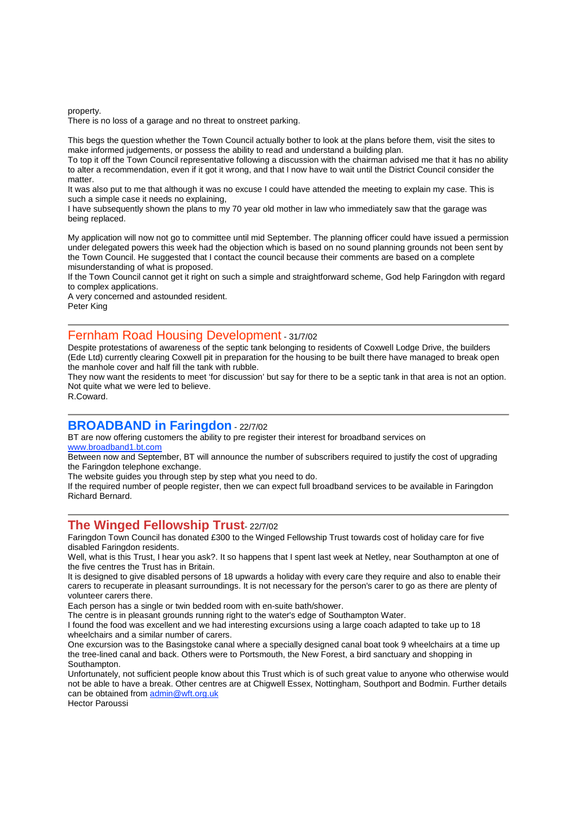property.

There is no loss of a garage and no threat to onstreet parking.

This begs the question whether the Town Council actually bother to look at the plans before them, visit the sites to make informed judgements, or possess the ability to read and understand a building plan.

To top it off the Town Council representative following a discussion with the chairman advised me that it has no ability to alter a recommendation, even if it got it wrong, and that I now have to wait until the District Council consider the matter.

It was also put to me that although it was no excuse I could have attended the meeting to explain my case. This is such a simple case it needs no explaining,

I have subsequently shown the plans to my 70 year old mother in law who immediately saw that the garage was being replaced.

My application will now not go to committee until mid September. The planning officer could have issued a permission under delegated powers this week had the objection which is based on no sound planning grounds not been sent by the Town Council. He suggested that I contact the council because their comments are based on a complete misunderstanding of what is proposed.

If the Town Council cannot get it right on such a simple and straightforward scheme, God help Faringdon with regard to complex applications.

A very concerned and astounded resident.

Peter King

#### Fernham Road Housing Development - 31/7/02

Despite protestations of awareness of the septic tank belonging to residents of Coxwell Lodge Drive, the builders (Ede Ltd) currently clearing Coxwell pit in preparation for the housing to be built there have managed to break open the manhole cover and half fill the tank with rubble.

They now want the residents to meet 'for discussion' but say for there to be a septic tank in that area is not an option. Not quite what we were led to believe.

R.Coward.

#### **BROADBAND in Faringdon** - 22/7/02

BT are now offering customers the ability to pre register their interest for broadband services on www.broadband1.bt.com

Between now and September, BT will announce the number of subscribers required to justify the cost of upgrading the Faringdon telephone exchange.

The website quides you through step by step what you need to do.

If the required number of people register, then we can expect full broadband services to be available in Faringdon Richard Bernard.

#### **The Winged Fellowship Trust**- 22/7/02

Faringdon Town Council has donated £300 to the Winged Fellowship Trust towards cost of holiday care for five disabled Faringdon residents.

Well, what is this Trust, I hear you ask?. It so happens that I spent last week at Netley, near Southampton at one of the five centres the Trust has in Britain.

It is designed to give disabled persons of 18 upwards a holiday with every care they require and also to enable their carers to recuperate in pleasant surroundings. It is not necessary for the person's carer to go as there are plenty of volunteer carers there.

Each person has a single or twin bedded room with en-suite bath/shower.

The centre is in pleasant grounds running right to the water's edge of Southampton Water.

I found the food was excellent and we had interesting excursions using a large coach adapted to take up to 18 wheelchairs and a similar number of carers.

One excursion was to the Basingstoke canal where a specially designed canal boat took 9 wheelchairs at a time up the tree-lined canal and back. Others were to Portsmouth, the New Forest, a bird sanctuary and shopping in Southampton.

Unfortunately, not sufficient people know about this Trust which is of such great value to anyone who otherwise would not be able to have a break. Other centres are at Chigwell Essex, Nottingham, Southport and Bodmin. Further details can be obtained from admin@wft.org.uk

Hector Paroussi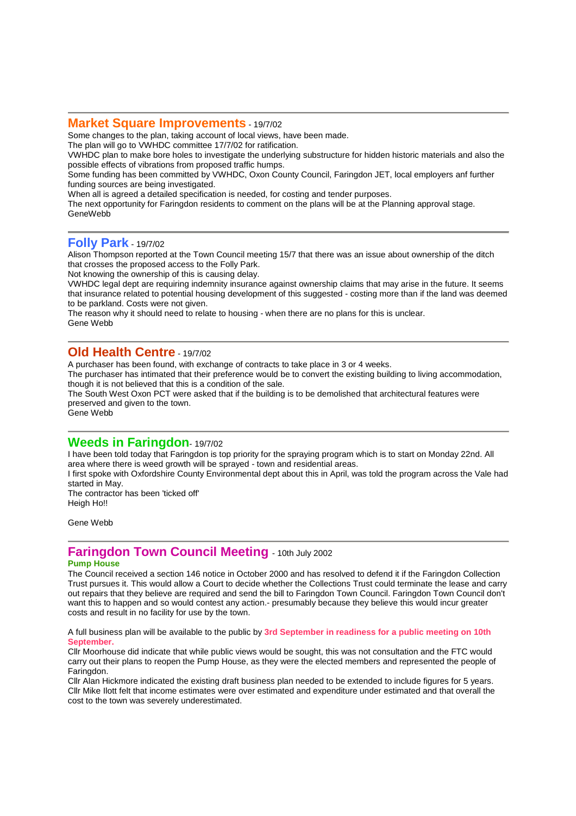#### **Market Square Improvements** - 19/7/02

Some changes to the plan, taking account of local views, have been made.

The plan will go to VWHDC committee 17/7/02 for ratification.

VWHDC plan to make bore holes to investigate the underlying substructure for hidden historic materials and also the possible effects of vibrations from proposed traffic humps.

Some funding has been committed by VWHDC, Oxon County Council, Faringdon JET, local employers anf further funding sources are being investigated.

When all is agreed a detailed specification is needed, for costing and tender purposes.

The next opportunity for Faringdon residents to comment on the plans will be at the Planning approval stage. GeneWebb

## **Folly Park** - 19/7/02

Alison Thompson reported at the Town Council meeting 15/7 that there was an issue about ownership of the ditch that crosses the proposed access to the Folly Park.

Not knowing the ownership of this is causing delay.

VWHDC legal dept are requiring indemnity insurance against ownership claims that may arise in the future. It seems that insurance related to potential housing development of this suggested - costing more than if the land was deemed to be parkland. Costs were not given.

The reason why it should need to relate to housing - when there are no plans for this is unclear. Gene Webb

#### **Old Health Centre** - 19/7/02

A purchaser has been found, with exchange of contracts to take place in 3 or 4 weeks.

The purchaser has intimated that their preference would be to convert the existing building to living accommodation, though it is not believed that this is a condition of the sale.

The South West Oxon PCT were asked that if the building is to be demolished that architectural features were preserved and given to the town.

Gene Webb

### **Weeds in Faringdon**- 19/7/02

I have been told today that Faringdon is top priority for the spraying program which is to start on Monday 22nd. All area where there is weed growth will be sprayed - town and residential areas.

I first spoke with Oxfordshire County Environmental dept about this in April, was told the program across the Vale had started in May.

The contractor has been 'ticked off' Heigh Ho!!

Gene Webb

## **Faringdon Town Council Meeting** - 10th July <sup>2002</sup>

#### **Pump House**

The Council received a section 146 notice in October 2000 and has resolved to defend it if the Faringdon Collection Trust pursues it. This would allow a Court to decide whether the Collections Trust could terminate the lease and carry out repairs that they believe are required and send the bill to Faringdon Town Council. Faringdon Town Council don't want this to happen and so would contest any action.- presumably because they believe this would incur greater costs and result in no facility for use by the town.

A full business plan will be available to the public by **3rd September in readiness for a public meeting on 10th September.**

Cllr Moorhouse did indicate that while public views would be sought, this was not consultation and the FTC would carry out their plans to reopen the Pump House, as they were the elected members and represented the people of Faringdon.

Cllr Alan Hickmore indicated the existing draft business plan needed to be extended to include figures for 5 years. Cllr Mike Ilott felt that income estimates were over estimated and expenditure under estimated and that overall the cost to the town was severely underestimated.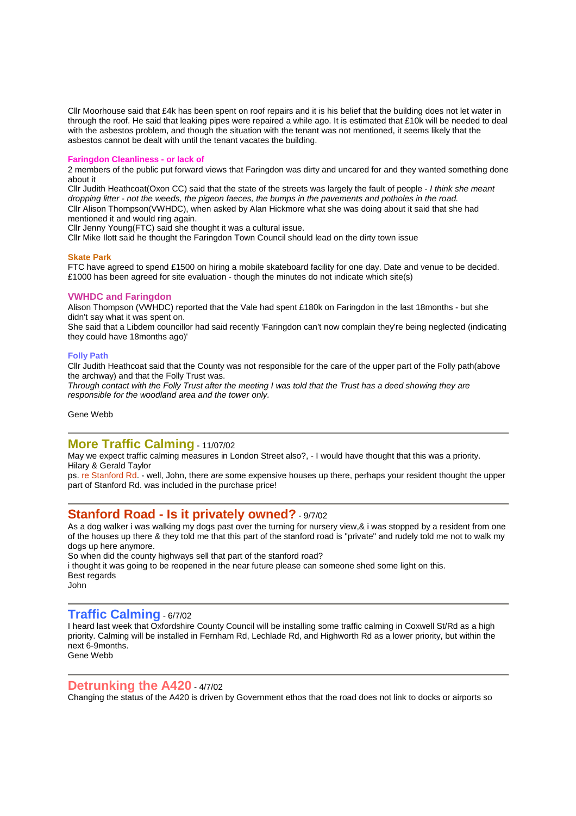Cllr Moorhouse said that £4k has been spent on roof repairs and it is his belief that the building does not let water in through the roof. He said that leaking pipes were repaired a while ago. It is estimated that £10k will be needed to deal with the asbestos problem, and though the situation with the tenant was not mentioned, it seems likely that the asbestos cannot be dealt with until the tenant vacates the building.

#### **Faringdon Cleanliness - or lack of**

2 members of the public put forward views that Faringdon was dirty and uncared for and they wanted something done about it

Cllr Judith Heathcoat(Oxon CC) said that the state of the streets was largely the fault of people - I think she meant dropping litter - not the weeds, the pigeon faeces, the bumps in the pavements and potholes in the road. Cllr Alison Thompson(VWHDC), when asked by Alan Hickmore what she was doing about it said that she had mentioned it and would ring again.

Cllr Jenny Young(FTC) said she thought it was a cultural issue.

Cllr Mike Ilott said he thought the Faringdon Town Council should lead on the dirty town issue

#### **Skate Park**

FTC have agreed to spend £1500 on hiring a mobile skateboard facility for one day. Date and venue to be decided. £1000 has been agreed for site evaluation - though the minutes do not indicate which site(s)

#### **VWHDC and Faringdon**

Alison Thompson (VWHDC) reported that the Vale had spent £180k on Faringdon in the last 18months - but she didn't say what it was spent on.

She said that a Libdem councillor had said recently 'Faringdon can't now complain they're being neglected (indicating they could have 18months ago)'

#### **Folly Path**

Cllr Judith Heathcoat said that the County was not responsible for the care of the upper part of the Folly path(above the archway) and that the Folly Trust was.

Through contact with the Folly Trust after the meeting I was told that the Trust has a deed showing they are responsible for the woodland area and the tower only.

Gene Webb

#### **More Traffic Calming** - 11/07/02

May we expect traffic calming measures in London Street also?, - I would have thought that this was a priority. Hilary & Gerald Taylor

ps. re Stanford Rd. - well, John, there are some expensive houses up there, perhaps your resident thought the upper part of Stanford Rd. was included in the purchase price!

#### **Stanford Road - Is it privately owned?** - 9/7/02

As a dog walker i was walking my dogs past over the turning for nursery view, & i was stopped by a resident from one of the houses up there & they told me that this part of the stanford road is "private" and rudely told me not to walk my dogs up here anymore.

So when did the county highways sell that part of the stanford road? i thought it was going to be reopened in the near future please can someone shed some light on this. Best regards John

#### **Traffic Calming** - 6/7/02

I heard last week that Oxfordshire County Council will be installing some traffic calming in Coxwell St/Rd as a high priority. Calming will be installed in Fernham Rd, Lechlade Rd, and Highworth Rd as a lower priority, but within the next 6-9months. Gene Webb

#### **Detrunking the A420** - 4/7/02

Changing the status of the A420 is driven by Government ethos that the road does not link to docks or airports so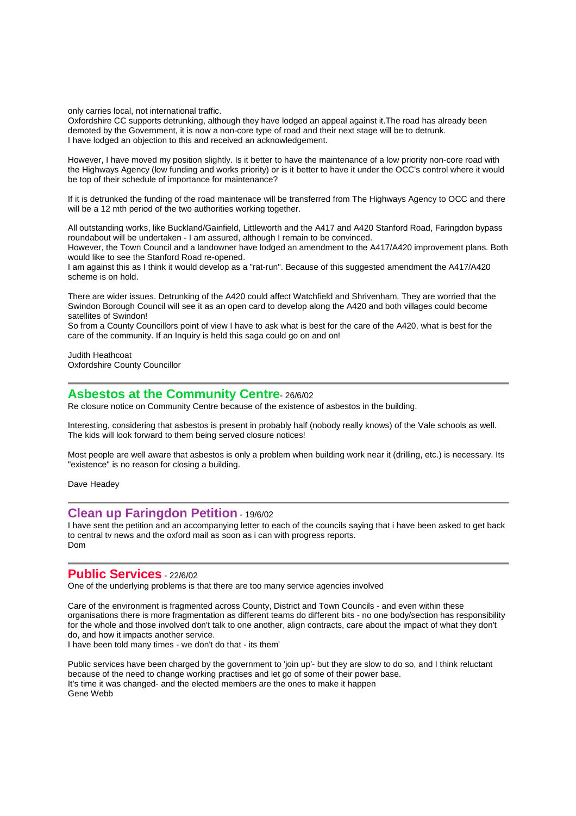only carries local, not international traffic.

Oxfordshire CC supports detrunking, although they have lodged an appeal against it.The road has already been demoted by the Government, it is now a non-core type of road and their next stage will be to detrunk. I have lodged an objection to this and received an acknowledgement.

However, I have moved my position slightly. Is it better to have the maintenance of a low priority non-core road with the Highways Agency (low funding and works priority) or is it better to have it under the OCC's control where it would be top of their schedule of importance for maintenance?

If it is detrunked the funding of the road maintenace will be transferred from The Highways Agency to OCC and there will be a 12 mth period of the two authorities working together.

All outstanding works, like Buckland/Gainfield, Littleworth and the A417 and A420 Stanford Road, Faringdon bypass roundabout will be undertaken - I am assured, although I remain to be convinced.

However, the Town Council and a landowner have lodged an amendment to the A417/A420 improvement plans. Both would like to see the Stanford Road re-opened.

I am against this as I think it would develop as a "rat-run". Because of this suggested amendment the A417/A420 scheme is on hold.

There are wider issues. Detrunking of the A420 could affect Watchfield and Shrivenham. They are worried that the Swindon Borough Council will see it as an open card to develop along the A420 and both villages could become satellites of Swindon!

So from a County Councillors point of view I have to ask what is best for the care of the A420, what is best for the care of the community. If an Inquiry is held this saga could go on and on!

Judith Heathcoat Oxfordshire County Councillor

#### **Asbestos at the Community Centre**- 26/6/02

Re closure notice on Community Centre because of the existence of asbestos in the building.

Interesting, considering that asbestos is present in probably half (nobody really knows) of the Vale schools as well. The kids will look forward to them being served closure notices!

Most people are well aware that asbestos is only a problem when building work near it (drilling, etc.) is necessary. Its "existence" is no reason for closing a building.

Dave Headey

#### **Clean up Faringdon Petition** - 19/6/02

I have sent the petition and an accompanying letter to each of the councils saying that i have been asked to get back to central tv news and the oxford mail as soon as i can with progress reports. Dom

#### **Public Services** - 22/6/02

One of the underlying problems is that there are too many service agencies involved

Care of the environment is fragmented across County, District and Town Councils - and even within these organisations there is more fragmentation as different teams do different bits - no one body/section has responsibility for the whole and those involved don't talk to one another, align contracts, care about the impact of what they don't do, and how it impacts another service.

I have been told many times - we don't do that - its them'

Public services have been charged by the government to 'join up'- but they are slow to do so, and I think reluctant because of the need to change working practises and let go of some of their power base. It's time it was changed- and the elected members are the ones to make it happen Gene Webb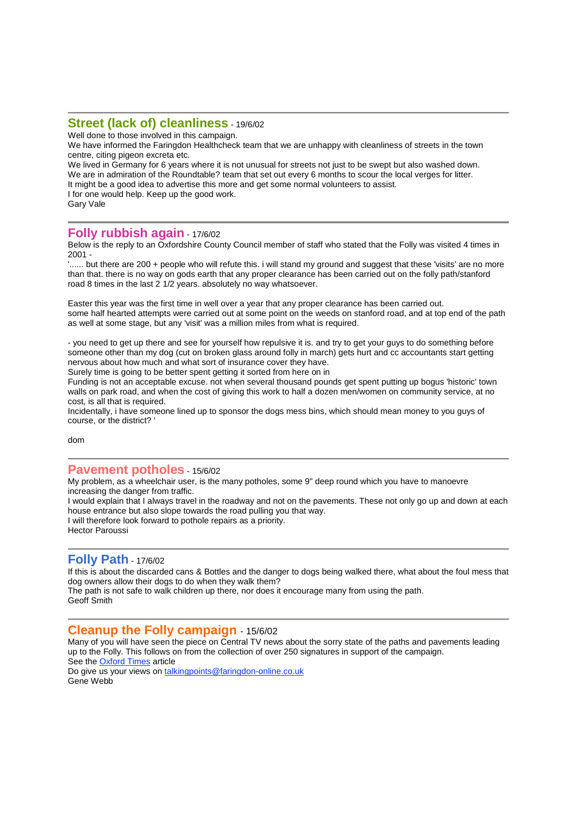#### **Street (lack of) cleanliness** - 19/6/02

Well done to those involved in this campaign.

We have informed the Faringdon Healthcheck team that we are unhappy with cleanliness of streets in the town centre, citing pigeon excreta etc.

We lived in Germany for 6 years where it is not unusual for streets not just to be swept but also washed down. We are in admiration of the Roundtable? team that set out every 6 months to scour the local verges for litter. It might be a good idea to advertise this more and get some normal volunteers to assist. I for one would help. Keep up the good work.

Gary Vale

#### **Folly rubbish again** - 17/6/02

Below is the reply to an Oxfordshire County Council member of staff who stated that the Folly was visited 4 times in 2001 -

'...... but there are 200 + people who will refute this. i will stand my ground and suggest that these 'visits' are no more than that. there is no way on gods earth that any proper clearance has been carried out on the folly path/stanford road 8 times in the last 2 1/2 years. absolutely no way whatsoever.

Easter this year was the first time in well over a year that any proper clearance has been carried out. some half hearted attempts were carried out at some point on the weeds on stanford road, and at top end of the path as well at some stage, but any 'visit' was a million miles from what is required.

- you need to get up there and see for yourself how repulsive it is. and try to get your guys to do something before someone other than my dog (cut on broken glass around folly in march) gets hurt and cc accountants start getting nervous about how much and what sort of insurance cover they have.

Surely time is going to be better spent getting it sorted from here on in Funding is not an acceptable excuse. not when several thousand pounds get spent putting up bogus 'historic' town

walls on park road, and when the cost of giving this work to half a dozen men/women on community service, at no cost, is all that is required.

Incidentally, i have someone lined up to sponsor the dogs mess bins, which should mean money to you guys of course, or the district? '

dom

### **Pavement potholes** - 15/6/02

My problem, as a wheelchair user, is the many potholes, some 9" deep round which you have to manoevre increasing the danger from traffic.

I would explain that I always travel in the roadway and not on the pavements. These not only go up and down at each house entrance but also slope towards the road pulling you that way.

I will therefore look forward to pothole repairs as a priority.

Hector Paroussi

### **Folly Path** - 17/6/02

If this is about the discarded cans & Bottles and the danger to dogs being walked there, what about the foul mess that dog owners allow their dogs to do when they walk them?

The path is not safe to walk children up there, nor does it encourage many from using the path. Geoff Smith

#### **Cleanup the Folly campaign** - 15/6/02

Many of you will have seen the piece on Central TV news about the sorry state of the paths and pavements leading up to the Folly. This follows on from the collection of over 250 signatures in support of the campaign. See the Oxford Times article

Do give us your views on talkingpoints@faringdon-online.co.uk Gene Webb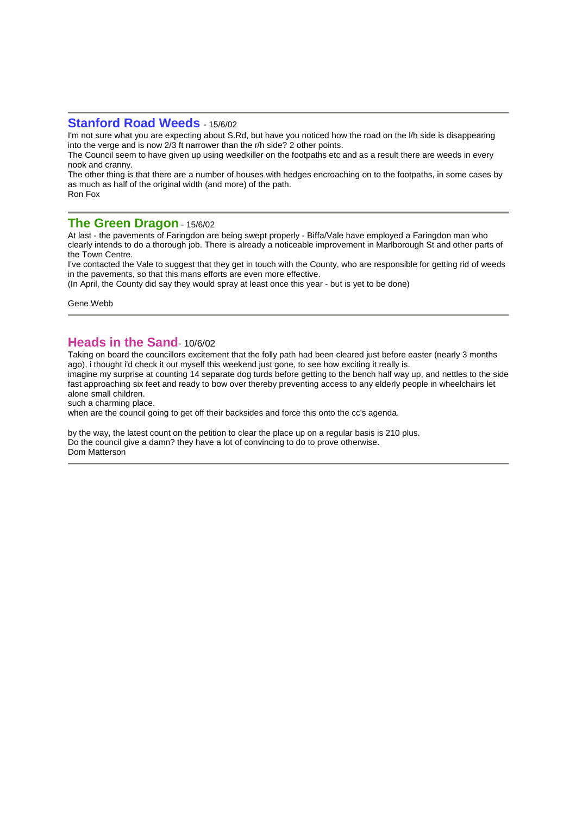#### **Stanford Road Weeds** - 15/6/02

I'm not sure what you are expecting about S.Rd, but have you noticed how the road on the l/h side is disappearing into the verge and is now 2/3 ft narrower than the r/h side? 2 other points.

The Council seem to have given up using weedkiller on the footpaths etc and as a result there are weeds in every nook and cranny.

The other thing is that there are a number of houses with hedges encroaching on to the footpaths, in some cases by as much as half of the original width (and more) of the path. Ron Fox

#### **The Green Dragon** - 15/6/02

At last - the pavements of Faringdon are being swept properly - Biffa/Vale have employed a Faringdon man who clearly intends to do a thorough job. There is already a noticeable improvement in Marlborough St and other parts of the Town Centre.

I've contacted the Vale to suggest that they get in touch with the County, who are responsible for getting rid of weeds in the pavements, so that this mans efforts are even more effective.

(In April, the County did say they would spray at least once this year - but is yet to be done)

Gene Webb

#### **Heads in the Sand**- 10/6/02

Taking on board the councillors excitement that the folly path had been cleared just before easter (nearly 3 months ago), i thought i'd check it out myself this weekend just gone, to see how exciting it really is.

imagine my surprise at counting 14 separate dog turds before getting to the bench half way up, and nettles to the side fast approaching six feet and ready to bow over thereby preventing access to any elderly people in wheelchairs let alone small children.

such a charming place.

when are the council going to get off their backsides and force this onto the cc's agenda.

by the way, the latest count on the petition to clear the place up on a regular basis is 210 plus. Do the council give a damn? they have a lot of convincing to do to prove otherwise. Dom Matterson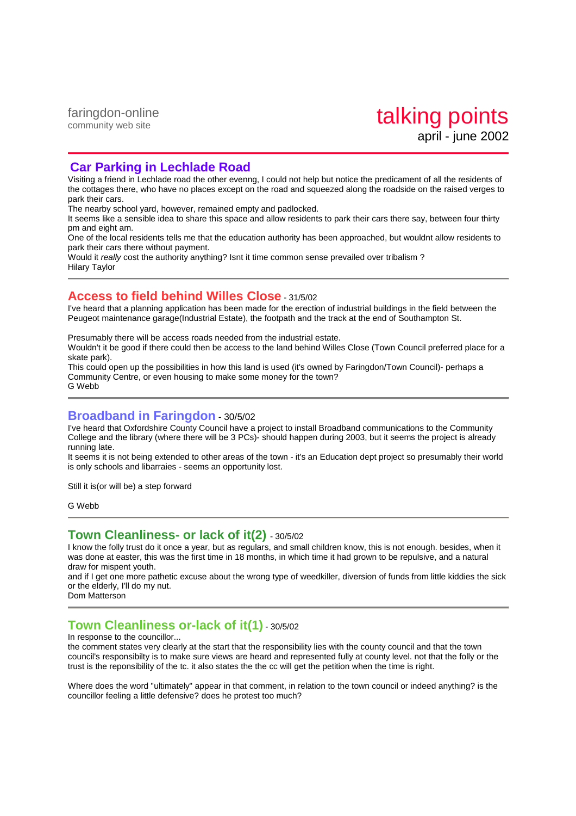### **Car Parking in Lechlade Road**

Visiting a friend in Lechlade road the other evenng, I could not help but notice the predicament of all the residents of the cottages there, who have no places except on the road and squeezed along the roadside on the raised verges to park their cars.

The nearby school yard, however, remained empty and padlocked.

It seems like a sensible idea to share this space and allow residents to park their cars there say, between four thirty pm and eight am.

One of the local residents tells me that the education authority has been approached, but wouldnt allow residents to park their cars there without payment.

Would it really cost the authority anything? Isnt it time common sense prevailed over tribalism? Hilary Taylor

## **Access to field behind Willes Close** - 31/5/02

I've heard that a planning application has been made for the erection of industrial buildings in the field between the Peugeot maintenance garage(Industrial Estate), the footpath and the track at the end of Southampton St.

Presumably there will be access roads needed from the industrial estate.

Wouldn't it be good if there could then be access to the land behind Willes Close (Town Council preferred place for a skate park).

This could open up the possibilities in how this land is used (it's owned by Faringdon/Town Council)- perhaps a Community Centre, or even housing to make some money for the town? G Webb

## **Broadband in Faringdon** - 30/5/02

I've heard that Oxfordshire County Council have a project to install Broadband communications to the Community College and the library (where there will be 3 PCs)- should happen during 2003, but it seems the project is already running late.

It seems it is not being extended to other areas of the town - it's an Education dept project so presumably their world is only schools and libarraies - seems an opportunity lost.

Still it is(or will be) a step forward

G Webb

### **Town Cleanliness- or lack of it(2)** - 30/5/02

I know the folly trust do it once a year, but as regulars, and small children know, this is not enough. besides, when it was done at easter, this was the first time in 18 months, in which time it had grown to be repulsive, and a natural draw for mispent youth.

and if I get one more pathetic excuse about the wrong type of weedkiller, diversion of funds from little kiddies the sick or the elderly, I'll do my nut.

Dom Matterson

## **Town Cleanliness or-lack of it(1)** - 30/5/02

In response to the councillor...

the comment states very clearly at the start that the responsibility lies with the county council and that the town council's responsibilty is to make sure views are heard and represented fully at county level. not that the folly or the trust is the reponsibility of the tc. it also states the the cc will get the petition when the time is right.

Where does the word "ultimately" appear in that comment, in relation to the town council or indeed anything? is the councillor feeling a little defensive? does he protest too much?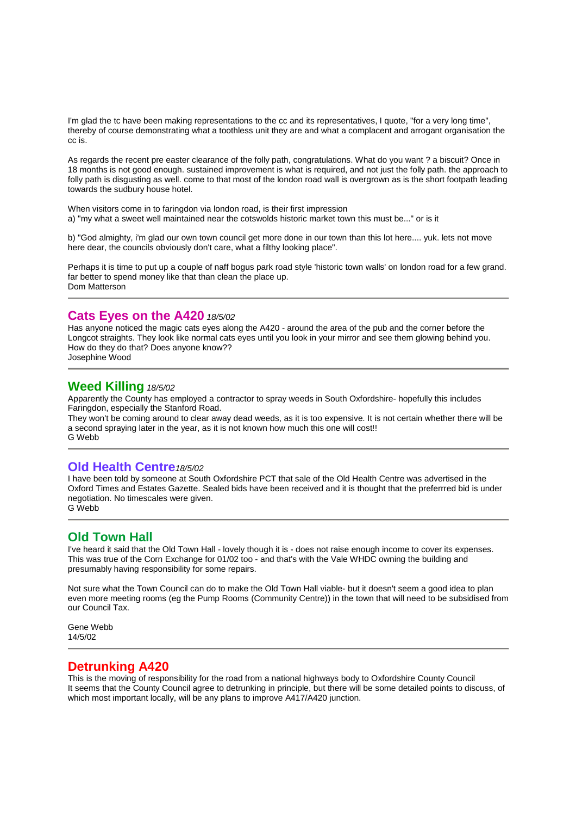I'm glad the tc have been making representations to the cc and its representatives, I quote, "for a very long time", thereby of course demonstrating what a toothless unit they are and what a complacent and arrogant organisation the cc is.

As regards the recent pre easter clearance of the folly path, congratulations. What do you want ? a biscuit? Once in 18 months is not good enough. sustained improvement is what is required, and not just the folly path. the approach to folly path is disgusting as well. come to that most of the london road wall is overgrown as is the short footpath leading towards the sudbury house hotel.

When visitors come in to faringdon via london road, is their first impression a) "my what a sweet well maintained near the cotswolds historic market town this must be..." or is it

b) "God almighty, i'm glad our own town council get more done in our town than this lot here.... yuk. lets not move here dear, the councils obviously don't care, what a filthy looking place".

Perhaps it is time to put up a couple of naff bogus park road style 'historic town walls' on london road for a few grand. far better to spend money like that than clean the place up. Dom Matterson

### **Cats Eyes on the A420** 18/5/02

Has anyone noticed the magic cats eyes along the A420 - around the area of the pub and the corner before the Longcot straights. They look like normal cats eyes until you look in your mirror and see them glowing behind you. How do they do that? Does anyone know??

Josephine Wood

## **Weed Killing** 18/5/02

Apparently the County has employed a contractor to spray weeds in South Oxfordshire- hopefully this includes Faringdon, especially the Stanford Road.

They won't be coming around to clear away dead weeds, as it is too expensive. It is not certain whether there will be a second spraying later in the year, as it is not known how much this one will cost!! G Webb

#### **Old Health Centre**18/5/02

I have been told by someone at South Oxfordshire PCT that sale of the Old Health Centre was advertised in the Oxford Times and Estates Gazette. Sealed bids have been received and it is thought that the preferrred bid is under negotiation. No timescales were given. G Webb

## **Old Town Hall**

I've heard it said that the Old Town Hall - lovely though it is - does not raise enough income to cover its expenses. This was true of the Corn Exchange for 01/02 too - and that's with the Vale WHDC owning the building and presumably having responsibility for some repairs.

Not sure what the Town Council can do to make the Old Town Hall viable- but it doesn't seem a good idea to plan even more meeting rooms (eg the Pump Rooms (Community Centre)) in the town that will need to be subsidised from our Council Tax.

Gene Webb 14/5/02

### **Detrunking A420**

This is the moving of responsibility for the road from a national highways body to Oxfordshire County Council It seems that the County Council agree to detrunking in principle, but there will be some detailed points to discuss, of which most important locally, will be any plans to improve A417/A420 junction.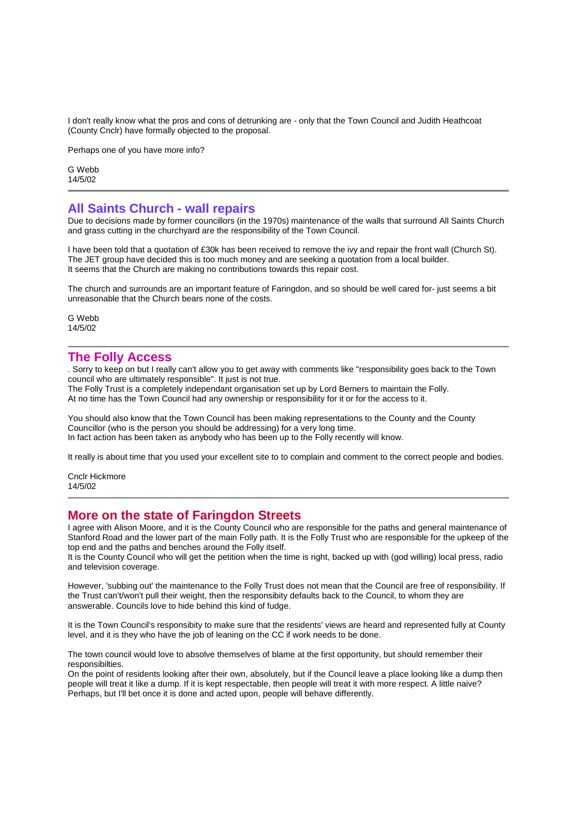I don't really know what the pros and cons of detrunking are - only that the Town Council and Judith Heathcoat (County Cnclr) have formally objected to the proposal.

Perhaps one of you have more info?

G Webb 14/5/02

#### **All Saints Church - wall repairs**

Due to decisions made by former councillors (in the 1970s) maintenance of the walls that surround All Saints Church and grass cutting in the churchyard are the responsibility of the Town Council.

I have been told that a quotation of £30k has been received to remove the ivy and repair the front wall (Church St). The JET group have decided this is too much money and are seeking a quotation from a local builder. It seems that the Church are making no contributions towards this repair cost.

The church and surrounds are an important feature of Faringdon, and so should be well cared for- just seems a bit unreasonable that the Church bears none of the costs.

G Webb 14/5/02

#### **The Folly Access**

. Sorry to keep on but I really can't allow you to get away with comments like "responsibility goes back to the Town council who are ultimately responsible". It just is not true.

The Folly Trust is a completely independant organisation set up by Lord Berners to maintain the Folly. At no time has the Town Council had any ownership or responsibility for it or for the access to it.

You should also know that the Town Council has been making representations to the County and the County Councillor (who is the person you should be addressing) for a very long time. In fact action has been taken as anybody who has been up to the Folly recently will know.

It really is about time that you used your excellent site to to complain and comment to the correct people and bodies.

Cnclr Hickmore 14/5/02

#### **More on the state of Faringdon Streets**

I agree with Alison Moore, and it is the County Council who are responsible for the paths and general maintenance of Stanford Road and the lower part of the main Folly path. It is the Folly Trust who are responsible for the upkeep of the top end and the paths and benches around the Folly itself.

It is the County Council who will get the petition when the time is right, backed up with (god willing) local press, radio and television coverage.

However, 'subbing out' the maintenance to the Folly Trust does not mean that the Council are free of responsibility. If the Trust can't/won't pull their weight, then the responsibity defaults back to the Council, to whom they are answerable. Councils love to hide behind this kind of fudge.

It is the Town Council's responsibity to make sure that the residents' views are heard and represented fully at County level, and it is they who have the job of leaning on the CC if work needs to be done.

The town council would love to absolve themselves of blame at the first opportunity, but should remember their responsibilties.

On the point of residents looking after their own, absolutely, but if the Council leave a place looking like a dump then people will treat it like a dump. If it is kept respectable, then people will treat it with more respect. A little naive? Perhaps, but I'll bet once it is done and acted upon, people will behave differently.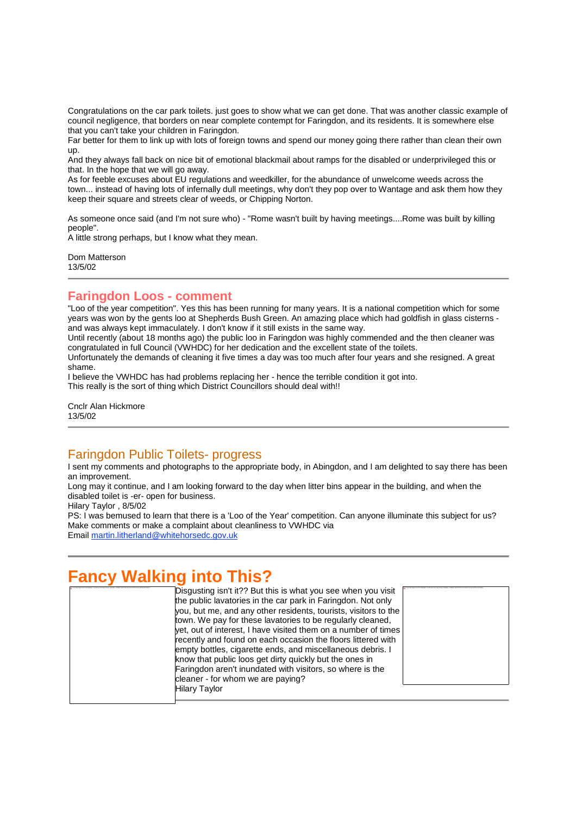Congratulations on the car park toilets. just goes to show what we can get done. That was another classic example of council negligence, that borders on near complete contempt for Faringdon, and its residents. It is somewhere else that you can't take your children in Faringdon.

Far better for them to link up with lots of foreign towns and spend our money going there rather than clean their own up.

And they always fall back on nice bit of emotional blackmail about ramps for the disabled or underprivileged this or that. In the hope that we will go away.

As for feeble excuses about EU regulations and weedkiller, for the abundance of unwelcome weeds across the town... instead of having lots of infernally dull meetings, why don't they pop over to Wantage and ask them how they keep their square and streets clear of weeds, or Chipping Norton.

As someone once said (and I'm not sure who) - "Rome wasn't built by having meetings....Rome was built by killing people".

A little strong perhaps, but I know what they mean.

Dom Matterson 13/5/02

## **Faringdon Loos - comment**

"Loo of the year competition". Yes this has been running for many years. It is a national competition which for some years was won by the gents loo at Shepherds Bush Green. An amazing place which had goldfish in glass cisterns and was always kept immaculately. I don't know if it still exists in the same way.

Until recently (about 18 months ago) the public loo in Faringdon was highly commended and the then cleaner was congratulated in full Council (VWHDC) for her dedication and the excellent state of the toilets.

Unfortunately the demands of cleaning it five times a day was too much after four years and she resigned. A great shame.

I believe the VWHDC has had problems replacing her - hence the terrible condition it got into. This really is the sort of thing which District Councillors should deal with!!

Cnclr Alan Hickmore 13/5/02

## Faringdon Public Toilets- progress

I sent my comments and photographs to the appropriate body, in Abingdon, and I am delighted to say there has been an improvement.

Long may it continue, and I am looking forward to the day when litter bins appear in the building, and when the disabled toilet is -er- open for business.

Hilary Taylor , 8/5/02

PS: I was bemused to learn that there is a 'Loo of the Year' competition. Can anyone illuminate this subject for us? Make comments or make a complaint about cleanliness to VWHDC via Email martin.litherland@whitehorsedc.gov.uk

# **Fancy Walking into This?**

| Disgusting isn't it?? But this is what you see when you visit   |  |
|-----------------------------------------------------------------|--|
| the public lavatories in the car park in Faringdon. Not only    |  |
| you, but me, and any other residents, tourists, visitors to the |  |
| town. We pay for these lavatories to be regularly cleaned.      |  |
| yet, out of interest, I have visited them on a number of times  |  |
| recently and found on each occasion the floors littered with    |  |
| empty bottles, cigarette ends, and miscellaneous debris. I      |  |
| know that public loos get dirty quickly but the ones in         |  |
| Faringdon aren't inundated with visitors, so where is the       |  |
| cleaner - for whom we are paying?                               |  |
| <b>Hilary Taylor</b>                                            |  |
|                                                                 |  |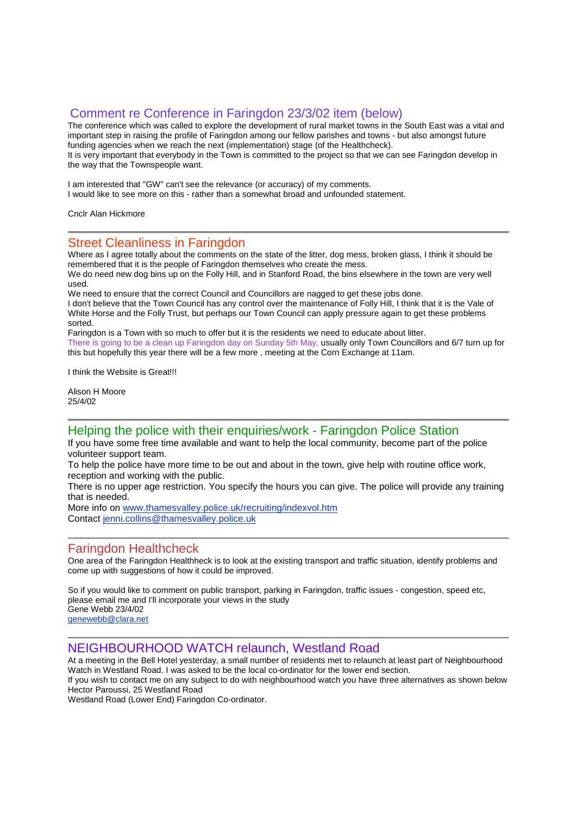## Comment re Conference in Faringdon 23/3/02 item (below)

The conference which was called to explore the development of rural market towns in the South East was a vital and important step in raising the profile of Faringdon among our fellow parishes and towns - but also amongst future funding agencies when we reach the next (implementation) stage (of the Healthcheck). It is very important that everybody in the Town is committed to the project so that we can see Faringdon develop in the way that the Townspeople want.

I am interested that "GW" can't see the relevance (or accuracy) of my comments. I would like to see more on this - rather than a somewhat broad and unfounded statement.

Cnclr Alan Hickmore

### Street Cleanliness in Faringdon

Where as I agree totally about the comments on the state of the litter, dog mess, broken glass, I think it should be remembered that it is the people of Faringdon themselves who create the mess.

We do need new dog bins up on the Folly Hill, and in Stanford Road, the bins elsewhere in the town are very well used.

We need to ensure that the correct Council and Councillors are nagged to get these jobs done.

I don't believe that the Town Council has any control over the maintenance of Folly Hill, I think that it is the Vale of White Horse and the Folly Trust, but perhaps our Town Council can apply pressure again to get these problems sorted.

Faringdon is a Town with so much to offer but it is the residents we need to educate about litter. There is going to be a clean up Faringdon day on Sunday 5th May, usually only Town Councillors and 6/7 turn up for this but hopefully this year there will be a few more , meeting at the Corn Exchange at 11am.

I think the Website is Great!!!

Alison H Moore 25/4/02

### Helping the police with their enquiries/work - Faringdon Police Station

If you have some free time available and want to help the local community, become part of the police volunteer support team.

To help the police have more time to be out and about in the town, give help with routine office work, reception and working with the public.

There is no upper age restriction. You specify the hours you can give. The police will provide any training that is needed.

More info on www.thamesvalley.police.uk/recruiting/indexvol.htm Contact jenni.collins@thamesvalley.police.uk

## Faringdon Healthcheck

One area of the Faringdon Healthheck is to look at the existing transport and traffic situation, identify problems and come up with suggestions of how it could be improved.

So if you would like to comment on public transport, parking in Faringdon, traffic issues - congestion, speed etc, please email me and I'll incorporate your views in the study Gene Webb 23/4/02 genewebb@clara.net

### NEIGHBOURHOOD WATCH relaunch, Westland Road

At a meeting in the Bell Hotel yesterday, a small number of residents met to relaunch at least part of Neighbourhood Watch in Westland Road. I was asked to be the local co-ordinator for the lower end section.

If you wish to contact me on any subject to do with neighbourhood watch you have three alternatives as shown below Hector Paroussi, 25 Westland Road

Westland Road (Lower End) Faringdon Co-ordinator.